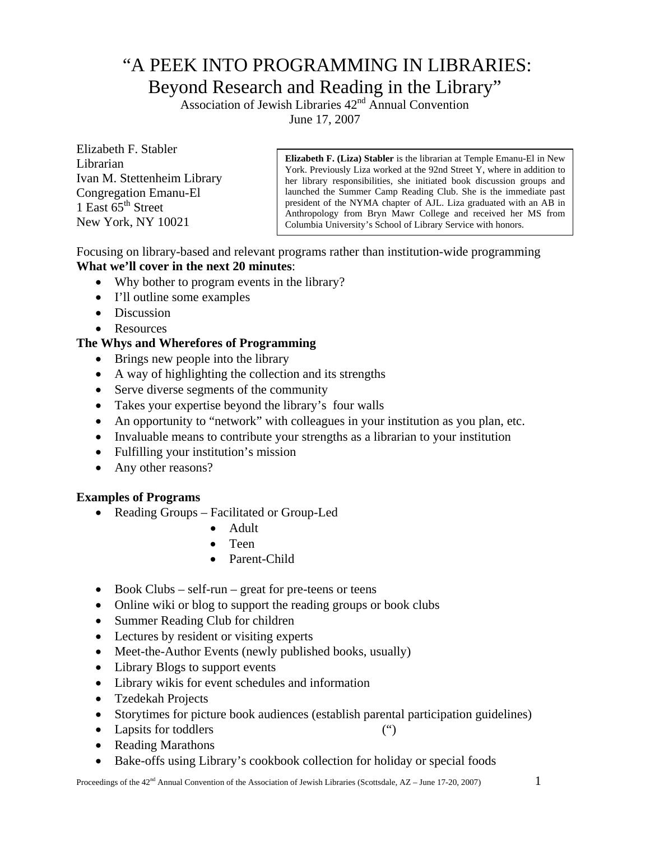# "A PEEK INTO PROGRAMMING IN LIBRARIES: Beyond Research and Reading in the Library"

Association of Jewish Libraries 42<sup>nd</sup> Annual Convention June 17, 2007

Elizabeth F. Stabler Librarian Ivan M. Stettenheim Library Congregation Emanu-El 1 East  $65<sup>th</sup>$  Street New York, NY 10021

**Elizabeth F. (Liza) Stabler** is the librarian at Temple Emanu-El in New York. Previously Liza worked at the 92nd Street Y, where in addition to her library responsibilities, she initiated book discussion groups and launched the Summer Camp Reading Club. She is the immediate past president of the NYMA chapter of AJL. Liza graduated with an AB in Anthropology from Bryn Mawr College and received her MS from Columbia University's School of Library Service with honors.

Focusing on library-based and relevant programs rather than institution-wide programming **What we'll cover in the next 20 minutes**:

- Why bother to program events in the library?
- I'll outline some examples
- Discussion
- Resources

## **The Whys and Wherefores of Programming**

- Brings new people into the library
- A way of highlighting the collection and its strengths
- Serve diverse segments of the community
- Takes your expertise beyond the library's four walls
- An opportunity to "network" with colleagues in your institution as you plan, etc.
- Invaluable means to contribute your strengths as a librarian to your institution
- Fulfilling your institution's mission
- Any other reasons?

## **Examples of Programs**

- Reading Groups Facilitated or Group-Led
	- Adult
	- Teen
	- Parent-Child
- Book Clubs self-run great for pre-teens or teens
- Online wiki or blog to support the reading groups or book clubs
- Summer Reading Club for children
- Lectures by resident or visiting experts
- Meet-the-Author Events (newly published books, usually)
- Library Blogs to support events
- Library wikis for event schedules and information
- Tzedekah Projects
- Storytimes for picture book audiences (establish parental participation guidelines)
- Lapsits for toddlers (")
- Reading Marathons
- Bake-offs using Library's cookbook collection for holiday or special foods